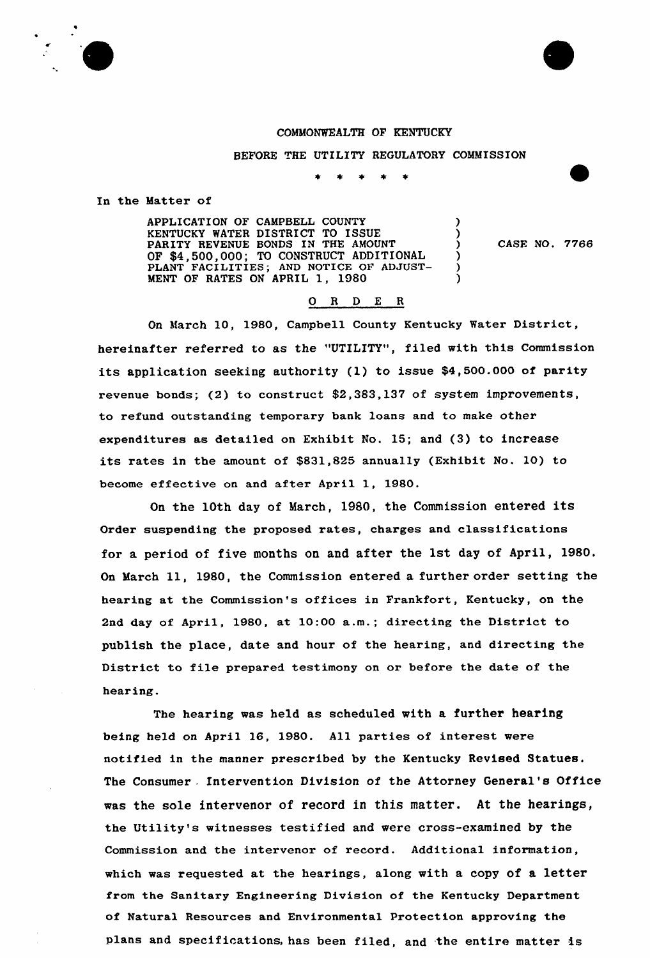#### COMMONWEALTH OF KENTUCKY

BEFORE THE UTILITY REGULATORY COMMISSION

 $\bullet$ 

In the Matter of

APPLICATION OF CAMPBELL COUNTY KENTUCKY WATER DISTRICT TO ISSUE PARITY REVENUE BONDS IN THE AMOUNT OF \$4,500,000; TO CONSTRUCT ADDITIONAL PLANT FACILITIES; AND NOTICE OF ADJUST-MENT OF RATES ON APRIL 1, 1980

CASE NO. 7766

# 0 R <sup>D</sup> E <sup>R</sup>

On March 10, 1980, Campbell County Kentucky Water District, hereinafter referred to as the "UTILITY", filed with this Commission its application seeking authority (1) to issue \$4,500.000 of parity revenue bonds; (2) to construct \$2,383,137 of system improvements, to refund outstanding temporary bank loans and to make other expenditures as detailed on Exhibit No. 15; and (3) to increase its rates in the amount of \$831,825 annually (Exhibit No. 10) to become effective on and after April 1, 1980.

On the 10th day of March, 1980, the Commission entered its Order suspending the proposed rates, charges and classifications for a period of five months on and after the 1st day of April, 1980. On March ll, 1980, the Commission entered <sup>a</sup> further order setting the hearing at the Commission's offices in Frankfort, Kentucky, on the 2nd day of April, 1980, at 10:00 a.m.; directing the District to publish the place, date and hour of the hearing, and dixecting the District to file prepared testimony on or before the date of the hearing.

The hearing was held as scheduled with a further hearing being held on April 16, 1980. All paxties of interest were notified in the manner prescribed by the Kentucky Revised Statues. The Consumer . Intervention Division of the Attorney General's Office was the sole intervenor of record in this matter. At the hearings, the Utility's witnesses testified and were cross-examined by the Commission and the intervenor of record. Additional information, which was requested at the hearings, along with a copy of a letter from the Sanitary Engineering Division of the Kentucky Department of Natural Resources and Environmental Protection approving the Plans and specifications, has been filed, and the entire matter is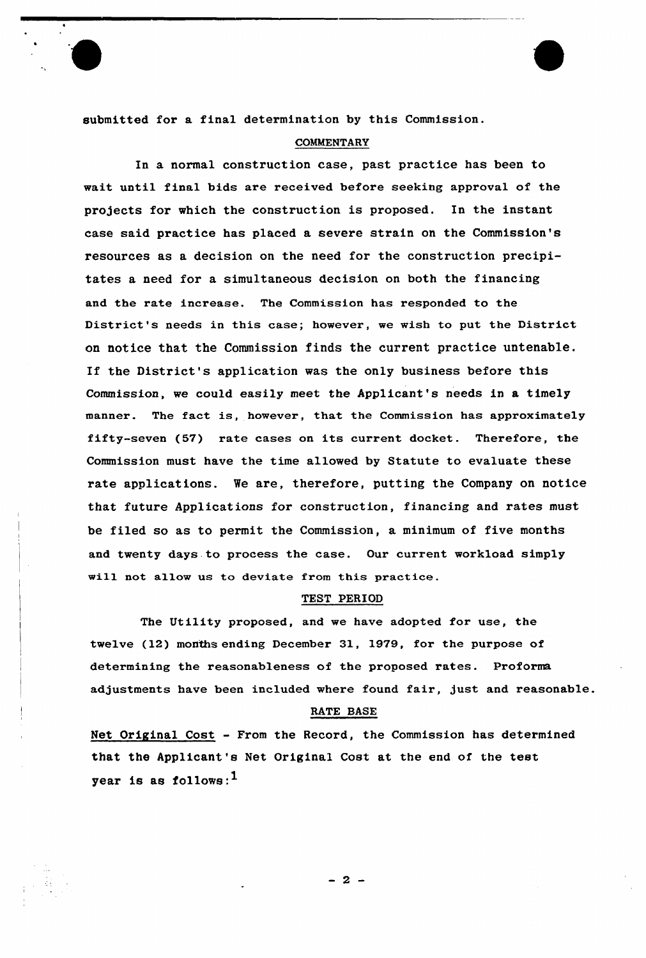submitted for a final determination by this Commission.

## **COMMENTARY**

In a normal construction case, past practice has been to wait until final bids are received before seeking approval of the projects for which the construction is proposed. In the instant case said practice has placed a severe strain on the Commission's resources as a decision on the need for the construction precipitates a need for a simultaneous decision on both the financing and the rate increase. The Commission has responded to the District's needs in this case; however, we wish to put the District on notice that the Commission finds the current practice untenable. If the District's application was the only business before this Commission, we could easily meet the Applicant's needs in a timely manner. The fact is, however, that the Commission has approximately fifty-seven (57) rate cases on its current docket. Therefore, the Commission must have the time allowed by Statute to evaluate these rate applications. We are, therefore, putting the Company on notice that future Applications for construction, financing and rates must be filed so as to permit the Commission, a minimum of five months and twenty days.to process the case. Our current workload simply will not allow us to deviate from this practice.

#### TEST PERIOD

The Utility proposed, and we have adopted for use, the twelve (12) months ending December 31, 1979, for the purpose of determining the reasonableness of the proposed rates. Proforma adjustments have been included where found fair, just and reasonable.

#### RATE BASE

 $-2-$ 

Net Original Cost - From the Record, the Commission has determined that the Applicant's Net Original Cost at the end of the test year is as follows: $<sup>1</sup>$ </sup>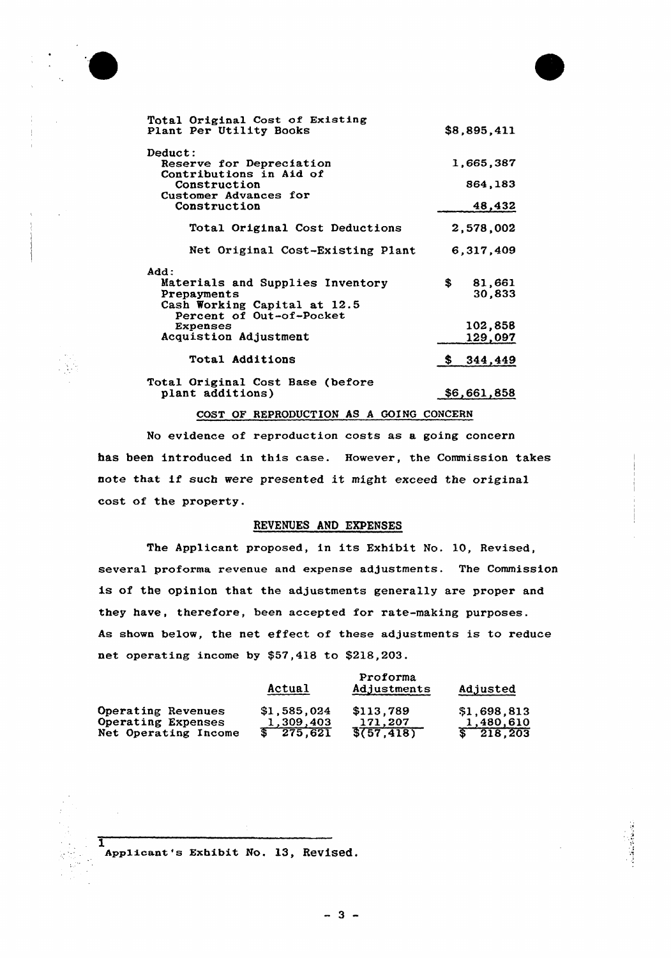



医子宫神经节

| Total Original Cost of Existing<br>Plant Per Utility Books | \$8,895,411   |
|------------------------------------------------------------|---------------|
| Deduct:                                                    | 1,665,387     |
| Reserve for Depreciation<br>Contributions in Aid of        |               |
| Construction                                               | 864,183       |
| Customer Advances for                                      |               |
| Construction                                               | 48,432        |
| Total Original Cost Deductions                             | 2,578,002     |
| Net Original Cost-Existing Plant                           | 6,317,409     |
| Add:                                                       |               |
| Materials and Supplies Inventory                           | S.<br>81,661  |
| Prepayments                                                | 30,833        |
| Cash Working Capital at 12.5                               |               |
| Percent of Out-of-Pocket<br>Expenses                       | 102,858       |
| Acquistion Adjustment                                      | 129,097       |
|                                                            |               |
| Total Additions                                            | 344,449<br>s. |
| Total Original Cost Base (before                           |               |
| plant additions)                                           | \$6,661,858   |

COST OF REPRODUCTION AS A GOING CONCERN

No evidence of reproduction costs as a going concern has been introduced in this case. However, the Commission takes note that if such were presented it might exceed the original cost of the property.

# REVENUES AND EXPENSES

The Applicant proposed, in its Exhibit No. 10, Revised, several proforma revenue and expense adjustments. The Commission is of the opinion that the adjustments generally are proper and they have, therefore, been accepted for rate-making purposes. As shown below, the net effect of these adjustments is to reduce net operating income by \$57,418 to \$218,203.

|                      | Actual      | Proforma<br>Adjustments | Adjusted    |  |  |
|----------------------|-------------|-------------------------|-------------|--|--|
| Operating Revenues   | \$1,585,024 | \$113,789               | \$1,698,813 |  |  |
| Operating Expenses   | 1,309,403   | 171.207                 | 1,480,610   |  |  |
| Net Operating Income | \$ 275,621  | $\sqrt[3]{57,418}$      | \$218.203   |  |  |

 $\bar{\mathbf{I}}$ Applicant's Exhibit NO. 13, ReViSed.

 $-3-$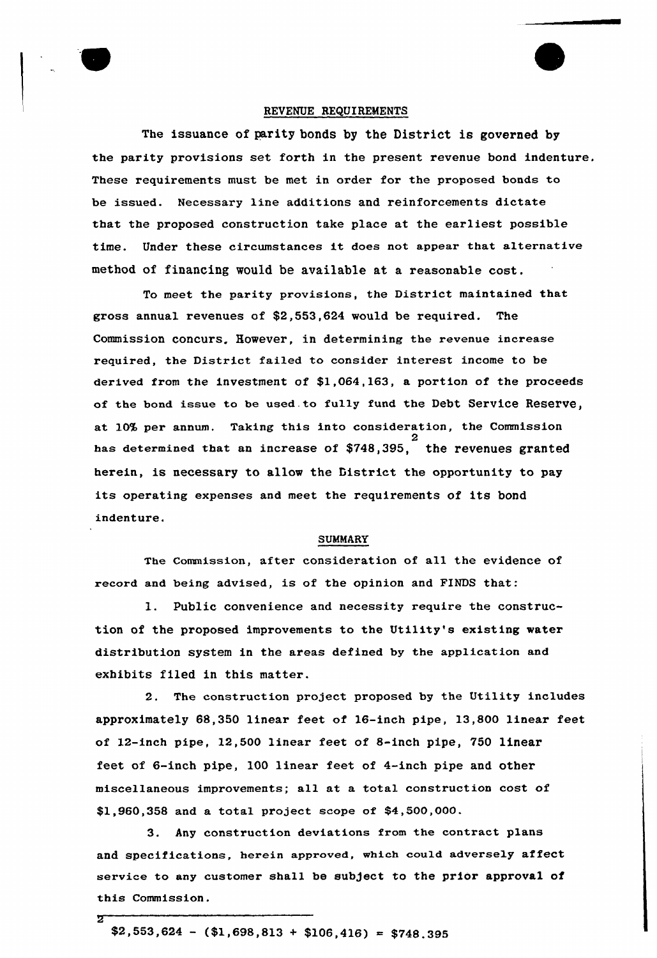

## REVENUE REQUIREMENTS

The issuance of parity bonds by the District is governed by the parity provisions set forth in the present revenue bond indenture. These requirements must be met in order for the proposed bonds to be issued. Necessary line additions and reinforcements dictate that the proposed construction take place at the earliest possible time. Under these circumstances it does not appear that alternative method of financing would be available at a reasonable cost.

To meet the parity provisions, the District maintained that gross annual revenues of \$2,553,624 would be required. The Commission concurs. Eowever, in determining the revenue increase required, the District failed to consider interest income to be derived from the investment of \$1,064,163, a portion of the proceeds of the bond issue to be used to fully fund the Debt Service Reserve, at 10% per annum. Taking this into consideration, the Commission 2 has determined that an increase of  $$748,395$ , the revenues grante herein, is necessary to allow the District the opportunity to pay its operating expenses and meet the requirements of its bond indenture.

## SUMMARY

The Commission, after consideration of all the evidence of record and being advised, is of the opinion and FINDS that:

1. Public convenience and necessity require the construction of the proposed improvements to the Utility's existing water distribution system in the areas defined by the application and exhibits filed in this matter.

2. The construction project propased by the Utility includes approximately 68,350 linear feet of 16-inch pipe, 13,800 linear feet of 12-inch pipe, 12,500 linear feet of 8-inch pipe, 750 linear feet of 6-inch pipe, 100 linear feet of 4-inch pipe and other miscellaneous improvements; all at a total construction cost of \$1,960,358 and a total project scope of \$4,500,000.

3. Any construction deviations from the contract plans and specifications, herein approved, which could adversely affect service to any customer shall be subject to the prior approval of this Commission.

π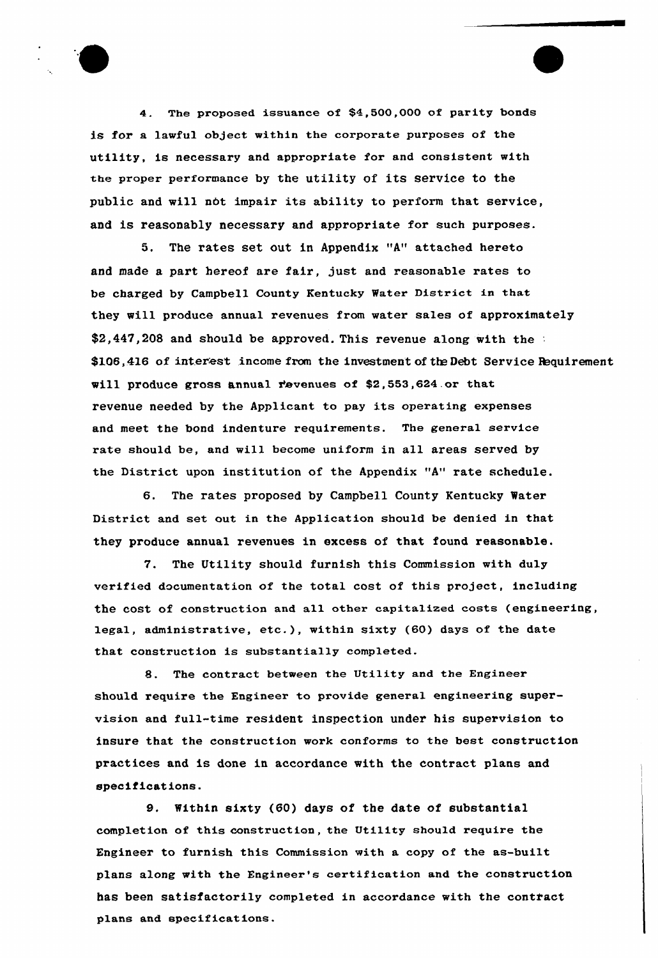4. The proposed issuance of \$4,500,000 of parity bonds is for a lawful object within the corporate purposes of the utility, is necessary and appropriate for and consistent with the proper performance by the utility of its service to the public and will nbt impair its ability to perform that service, and is reasonably necessary and appropriate for such purposes.

5. The rates set out in Appendix "A" attached hereto and made a part hereof are fair, just and reasonable rates to be charged by Campbell County Kentucky Water District in that they will produce annual revenues from water sales of approximately \$2,447,208 and should be approved. This revenue along with the : \$106,416 of interest income from the investment of the Debt Service Requirement will produce gross annual revenues of \$2,553,624 or that revenue needed by the Applicant to pay its operating expenses and meet the bond indenture requirements. The general service rate should be, and will become uniform in all areas served by the District upon institution of the Appendix "A" rate schedule.

6. The rates proposed by Campbell County Kentucky Water District and set out in the Application should be denied in that they produce annual revenues in excess of that found reasonable.

7. The Utility should furnish this Commission with duly verified documentation of the total cost of this project, including the cost of construction and all other capita1ized costs (engineering, legal, administrative, etc.), within sixty (60) days of the date that construction is substantially completed.

8. The contract between the Utility and the Engineer should require the Engineer to provide general engineering supervision and full-time resident inspection under his supervision to insure that the construction work conforms to the best construction practices and is done in accordance with the contract plans and specifications.

9. Within sixty (60) days of the date of substantial completion of this construction, the Utility should require the Engineer to furnish this Commission with a copy of the as-built plans along with the Engineer's certification and the construction has been satisfactorily completed in accordance with the contract plans and specifications.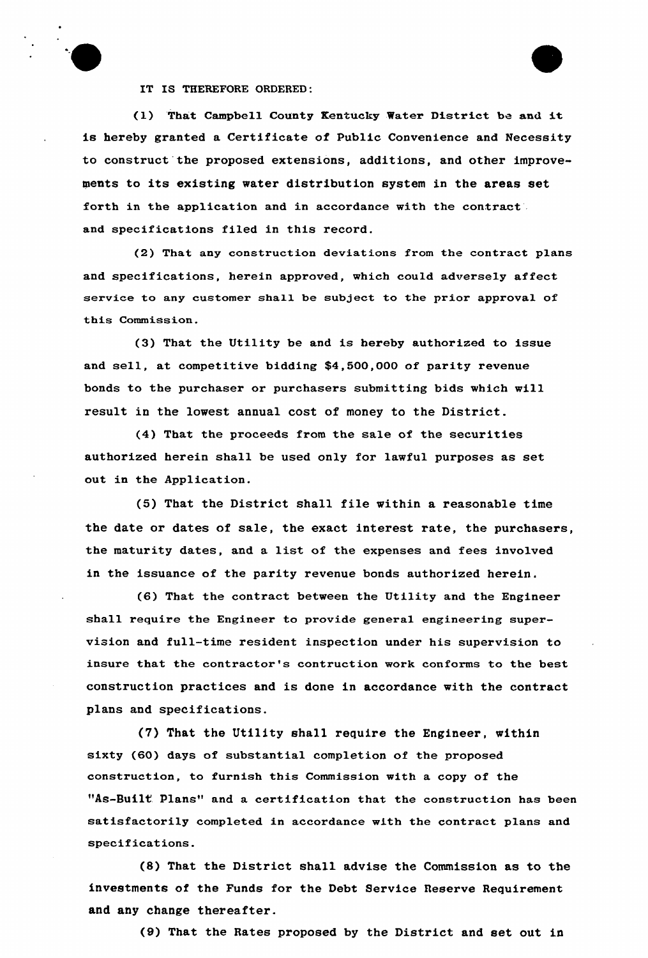

IT IS THEREFORE ORDERED:

(1) That Campbell County Kentucky Water District be and it is hereby granted a Certificate of Public Convenience and Necessity to construct the proposed extensions, additions, and other improvements to its existing water distribution system in the areas set forth in the application and in accordance with the contract and specifications filed in this record.

(2) That any construction deviations from the contract plans and specifications, herein approved, which could adversely affect service to any customer shall be subject to the prior approval of this Commission.

(3) That the Utility be and is hereby authorized to issue and sell, at competitive bidding \$4,500,000 of parity revenue bonds to the purchaser or purchasers submitting bids which will result in the lowest annual cost of money to the District.

(4) That the proceeds from the sale of the securities authorized herein shall be used only for lawful purposes as set out in the Application.

(5} That the District shall file within a reasonable time the date or dates of sale, the exact interest rate, the purchasers, the maturity dates, and a list of the expenses and fees involved in the issuance of the parity revenue bonds authorized herein.

(6) That the contract between the Utility and the Engineer shall require the Engineer to provide general engineering supervision and full-time resident inspection under his supervision to insure that the contractor's contruction work conforms to the best construction practices and is done in accordance with the contract plans and specifications.

(7) That the Utility shall require the Engineer, within sixty (60) days of substantial completion of the proposed construction, to furnish this Commission with a copy of the "As-Built Plans" and a certification that the construction has been satisfactorily completed in accordance with the contract plans and specifications.

(8) That the District shall advise the Commission as to the investments of the Funds for the Debt Service Reserve Requirement and any change thereafter.

(9) That the Rates proposed by the District and set out in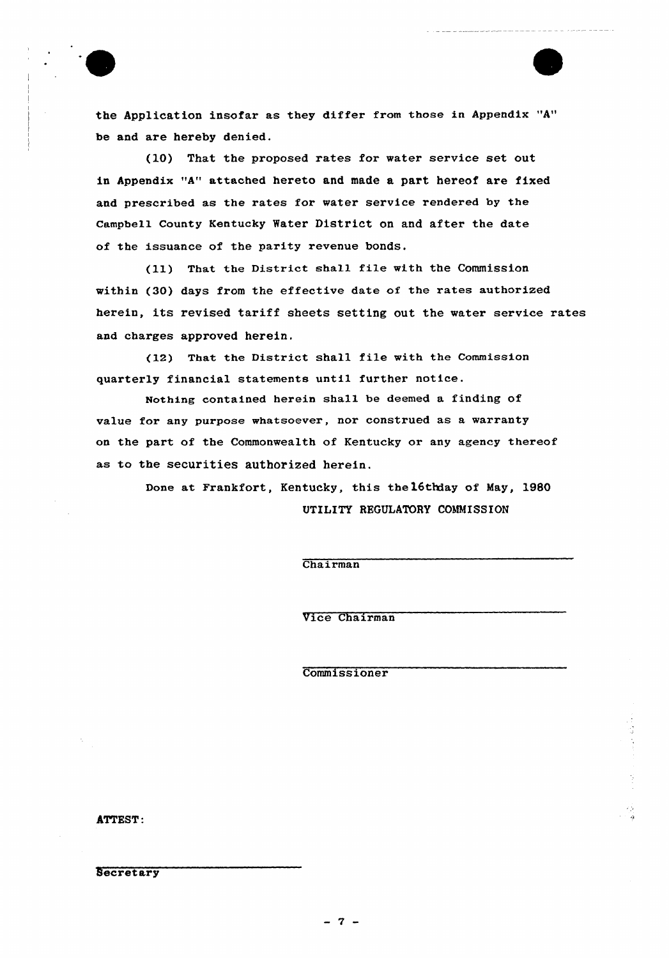

the Application insofar as they differ from those in Appendix "A" be and are hereby denied.

(10) That the proposed rates for water service set out in Appendix "A" attached hereto and made a part hereof are fixed and prescribed as the rates for water service rendered by the Campbell County Kentucky Water District on and after the date of the issuance of the parity revenue bonds.

(ll) That the District shall file with the Commission within (30) days from the effective date of the rates authorized herein, its revised tariff sheets setting out the water service rates and charges approved herein.

(12) That the District shall file with the Commission quarterly financial statements until further notice.

Nothing contained herein shall be deemed a finding of value for any purpose whatsoever, nor construed as a warranty on the part of the Commonwealth of Kentucky or any agency thereof as to the securities authorized herein.

> Done at Frankfort, Kentucky, this the16thday of May, 1989 UTILITY REGULATORY COMMISSION

> > Chairman

Uice Chairman

Commissioner

ATTEST:

**Secretary**